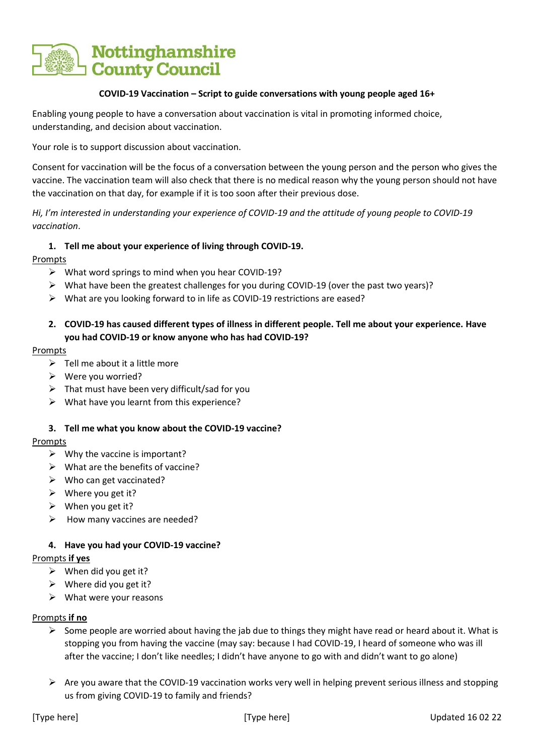

### **COVID-19 Vaccination – Script to guide conversations with young people aged 16+**

Enabling young people to have a conversation about vaccination is vital in promoting informed choice, understanding, and decision about vaccination.

Your role is to support discussion about vaccination.

Consent for vaccination will be the focus of a conversation between the young person and the person who gives the vaccine. The vaccination team will also check that there is no medical reason why the young person should not have the vaccination on that day, for example if it is too soon after their previous dose.

*Hi, I'm interested in understanding your experience of COVID-19 and the attitude of young people to COVID-19 vaccination*.

### **1. Tell me about your experience of living through COVID-19.**

Prompts

- $\triangleright$  What word springs to mind when you hear COVID-19?
- ➢ What have been the greatest challenges for you during COVID-19 (over the past two years)?
- ➢ What are you looking forward to in life as COVID-19 restrictions are eased?

# **2. COVID-19 has caused different types of illness in different people. Tell me about your experience. Have you had COVID-19 or know anyone who has had COVID-19?**

### Prompts

- $\triangleright$  Tell me about it a little more
- ➢ Were you worried?
- $\triangleright$  That must have been very difficult/sad for you
- $\triangleright$  What have you learnt from this experience?

### **3. Tell me what you know about the COVID-19 vaccine?**

### Prompts

- $\triangleright$  Why the vaccine is important?
- $\triangleright$  What are the benefits of vaccine?
- $\triangleright$  Who can get vaccinated?
- $\triangleright$  Where you get it?
- $\triangleright$  When you get it?
- $\triangleright$  How many vaccines are needed?

### **4. Have you had your COVID-19 vaccine?**

### Prompts **if yes**

- $\triangleright$  When did you get it?
- $\triangleright$  Where did you get it?
- $\triangleright$  What were your reasons

### Prompts **if no**

- $\triangleright$  Some people are worried about having the jab due to things they might have read or heard about it. What is stopping you from having the vaccine (may say: because I had COVID-19, I heard of someone who was ill after the vaccine; I don't like needles; I didn't have anyone to go with and didn't want to go alone)
- ➢ Are you aware that the COVID-19 vaccination works very well in helping prevent serious illness and stopping us from giving COVID-19 to family and friends?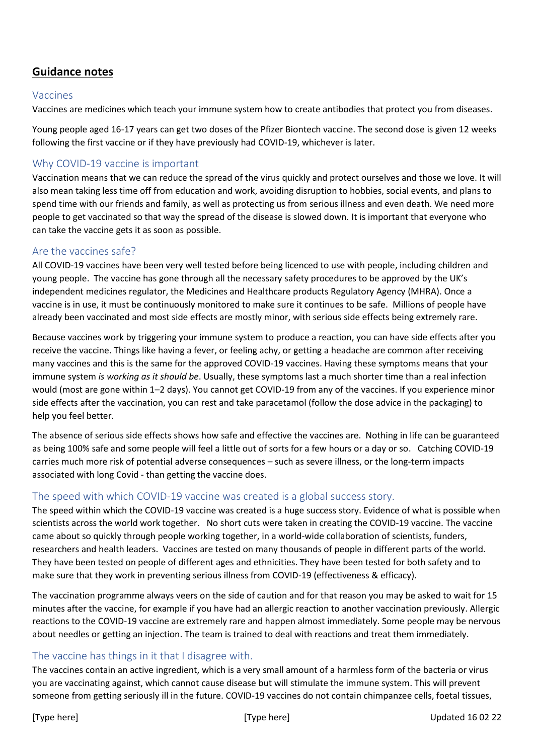# **Guidance notes**

### Vaccines

Vaccines are medicines which teach your immune system how to create antibodies that protect you from diseases.

Young people aged 16-17 years can get two doses of the Pfizer Biontech vaccine. The second dose is given 12 weeks following the first vaccine or if they have previously had COVID-19, whichever is later.

## Why COVID-19 vaccine is important

Vaccination means that we can reduce the spread of the virus quickly and protect ourselves and those we love. It will also mean taking less time off from education and work, avoiding disruption to hobbies, social events, and plans to spend time with our friends and family, as well as protecting us from serious illness and even death. We need more people to get vaccinated so that way the spread of the disease is slowed down. It is important that everyone who can take the vaccine gets it as soon as possible.

# Are the vaccines safe?

All COVID-19 vaccines have been very well tested before being licenced to use with people, including children and young people. The vaccine has gone through all the necessary safety procedures to be approved by the UK's independent medicines regulator, the Medicines and Healthcare products Regulatory Agency (MHRA). Once a vaccine is in use, it must be continuously monitored to make sure it continues to be safe. Millions of people have already been vaccinated and most side effects are mostly minor, with serious side effects being extremely rare.

Because vaccines work by triggering your immune system to produce a reaction, you can have side effects after you receive the vaccine. Things like having a fever, or feeling achy, or getting a headache are common after receiving many vaccines and this is the same for the approved COVID-19 vaccines. Having these symptoms means that your immune system *is working as it should be*. Usually, these symptoms last a much shorter time than a real infection would (most are gone within 1–2 days). You cannot get COVID-19 from any of the vaccines. If you experience minor side effects after the vaccination, you can rest and take paracetamol (follow the dose advice in the packaging) to help you feel better.

The absence of serious side effects shows how safe and effective the vaccines are. Nothing in life can be guaranteed as being 100% safe and some people will feel a little out of sorts for a few hours or a day or so. Catching COVID-19 carries much more risk of potential adverse consequences – such as severe illness, or the long-term impacts associated with long Covid - than getting the vaccine does.

## The speed with which COVID-19 vaccine was created is a global success story.

The speed within which the COVID-19 vaccine was created is a huge success story. Evidence of what is possible when scientists across the world work together. No short cuts were taken in creating the COVID-19 vaccine. The vaccine came about so quickly through people working together, in a world-wide collaboration of scientists, funders, researchers and health leaders. Vaccines are tested on many thousands of people in different parts of the world. They have been tested on people of different ages and ethnicities. They have been tested for both safety and to make sure that they work in preventing serious illness from COVID-19 (effectiveness & efficacy).

The vaccination programme always veers on the side of caution and for that reason you may be asked to wait for 15 minutes after the vaccine, for example if you have had an allergic reaction to another vaccination previously. Allergic reactions to the COVID-19 vaccine are extremely rare and happen almost immediately. Some people may be nervous about needles or getting an injection. The team is trained to deal with reactions and treat them immediately.

## The vaccine has things in it that I disagree with.

The vaccines contain an active ingredient, which is a very small amount of a harmless form of the bacteria or virus you are vaccinating against, which cannot cause disease but will stimulate the immune system. This will prevent someone from getting seriously ill in the future. COVID-19 vaccines do not contain chimpanzee cells, foetal tissues,